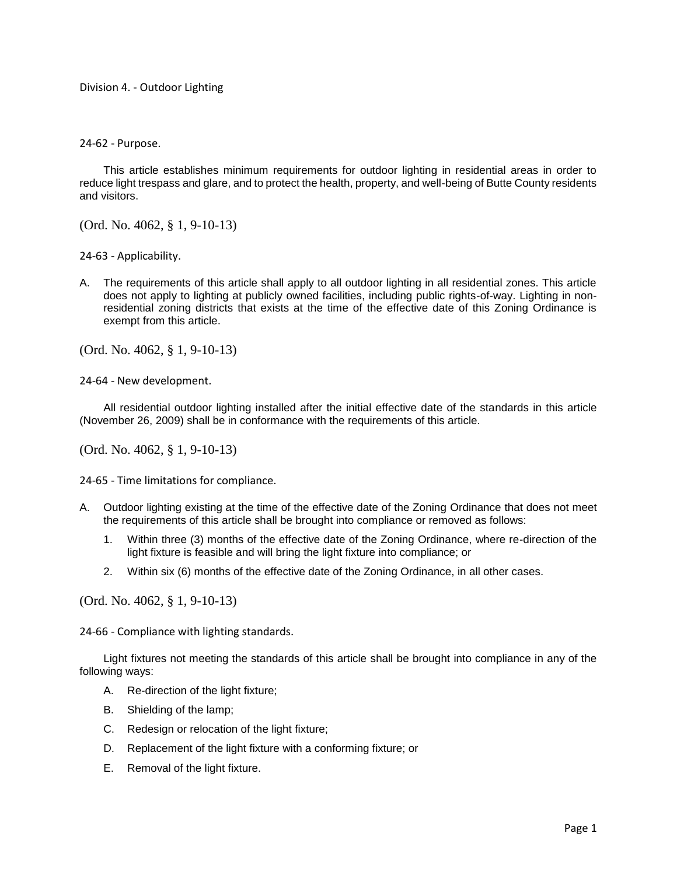## Division 4. - Outdoor Lighting

24-62 - Purpose.

This article establishes minimum requirements for outdoor lighting in residential areas in order to reduce light trespass and glare, and to protect the health, property, and well-being of Butte County residents and visitors.

(Ord. No. 4062, § 1, 9-10-13)

24-63 - Applicability.

A. The requirements of this article shall apply to all outdoor lighting in all residential zones. This article does not apply to lighting at publicly owned facilities, including public rights-of-way. Lighting in nonresidential zoning districts that exists at the time of the effective date of this Zoning Ordinance is exempt from this article.

(Ord. No. 4062, § 1, 9-10-13)

24-64 - New development.

All residential outdoor lighting installed after the initial effective date of the standards in this article (November 26, 2009) shall be in conformance with the requirements of this article.

(Ord. No. 4062, § 1, 9-10-13)

24-65 - Time limitations for compliance.

- A. Outdoor lighting existing at the time of the effective date of the Zoning Ordinance that does not meet the requirements of this article shall be brought into compliance or removed as follows:
	- 1. Within three (3) months of the effective date of the Zoning Ordinance, where re-direction of the light fixture is feasible and will bring the light fixture into compliance; or
	- 2. Within six (6) months of the effective date of the Zoning Ordinance, in all other cases.

(Ord. No. 4062, § 1, 9-10-13)

24-66 - Compliance with lighting standards.

Light fixtures not meeting the standards of this article shall be brought into compliance in any of the following ways:

- A. Re-direction of the light fixture;
- B. Shielding of the lamp;
- C. Redesign or relocation of the light fixture;
- D. Replacement of the light fixture with a conforming fixture; or
- E. Removal of the light fixture.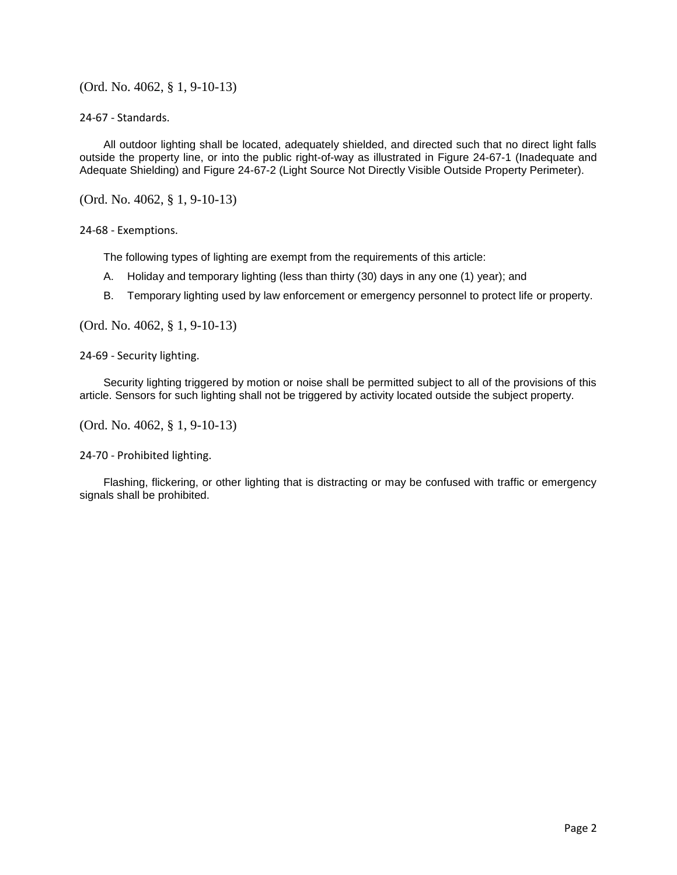(Ord. No. 4062, § 1, 9-10-13)

24-67 - Standards.

All outdoor lighting shall be located, adequately shielded, and directed such that no direct light falls outside the property line, or into the public right-of-way as illustrated in Figure 24-67-1 (Inadequate and Adequate Shielding) and Figure 24-67-2 (Light Source Not Directly Visible Outside Property Perimeter).

(Ord. No. 4062, § 1, 9-10-13)

24-68 - Exemptions.

The following types of lighting are exempt from the requirements of this article:

- A. Holiday and temporary lighting (less than thirty (30) days in any one (1) year); and
- B. Temporary lighting used by law enforcement or emergency personnel to protect life or property.

(Ord. No. 4062, § 1, 9-10-13)

24-69 - Security lighting.

Security lighting triggered by motion or noise shall be permitted subject to all of the provisions of this article. Sensors for such lighting shall not be triggered by activity located outside the subject property.

(Ord. No. 4062, § 1, 9-10-13)

24-70 - Prohibited lighting.

Flashing, flickering, or other lighting that is distracting or may be confused with traffic or emergency signals shall be prohibited.